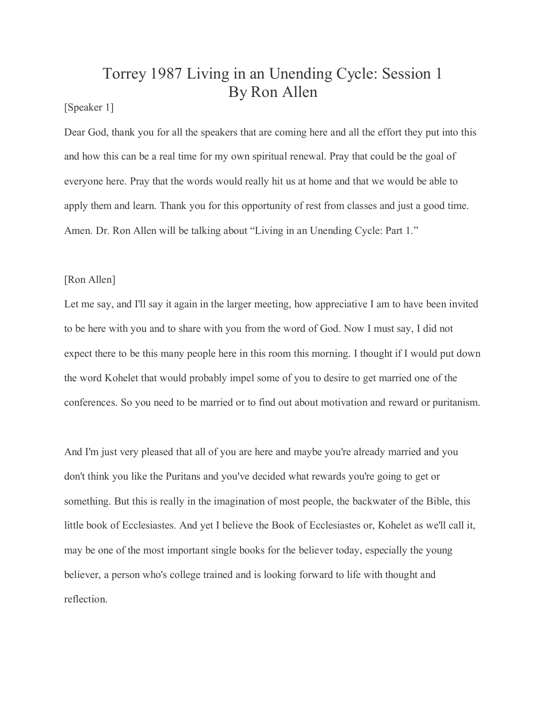## Torrey 1987 Living in an Unending Cycle: Session 1 By Ron Allen

## [Speaker 1]

Dear God, thank you for all the speakers that are coming here and all the effort they put into this and how this can be a real time for my own spiritual renewal. Pray that could be the goal of everyone here. Pray that the words would really hit us at home and that we would be able to apply them and learn. Thank you for this opportunity of rest from classes and just a good time. Amen. Dr. Ron Allen will be talking about "Living in an Unending Cycle: Part 1."

## [Ron Allen]

Let me say, and I'll say it again in the larger meeting, how appreciative I am to have been invited to be here with you and to share with you from the word of God. Now I must say, I did not expect there to be this many people here in this room this morning. I thought if I would put down the word Kohelet that would probably impel some of you to desire to get married one of the conferences. So you need to be married or to find out about motivation and reward or puritanism.

And I'm just very pleased that all of you are here and maybe you're already married and you don't think you like the Puritans and you've decided what rewards you're going to get or something. But this is really in the imagination of most people, the backwater of the Bible, this little book of Ecclesiastes. And yet I believe the Book of Ecclesiastes or, Kohelet as we'll call it, may be one of the most important single books for the believer today, especially the young believer, a person who's college trained and is looking forward to life with thought and reflection.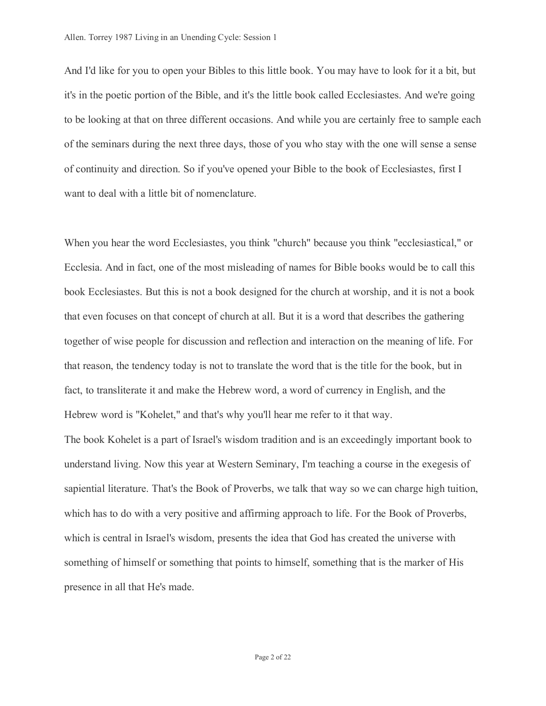And I'd like for you to open your Bibles to this little book. You may have to look for it a bit, but it's in the poetic portion of the Bible, and it's the little book called Ecclesiastes. And we're going to be looking at that on three different occasions. And while you are certainly free to sample each of the seminars during the next three days, those of you who stay with the one will sense a sense of continuity and direction. So if you've opened your Bible to the book of Ecclesiastes, first I want to deal with a little bit of nomenclature.

When you hear the word Ecclesiastes, you think "church" because you think "ecclesiastical," or Ecclesia. And in fact, one of the most misleading of names for Bible books would be to call this book Ecclesiastes. But this is not a book designed for the church at worship, and it is not a book that even focuses on that concept of church at all. But it is a word that describes the gathering together of wise people for discussion and reflection and interaction on the meaning of life. For that reason, the tendency today is not to translate the word that is the title for the book, but in fact, to transliterate it and make the Hebrew word, a word of currency in English, and the Hebrew word is "Kohelet," and that's why you'll hear me refer to it that way.

The book Kohelet is a part of Israel's wisdom tradition and is an exceedingly important book to understand living. Now this year at Western Seminary, I'm teaching a course in the exegesis of sapiential literature. That's the Book of Proverbs, we talk that way so we can charge high tuition, which has to do with a very positive and affirming approach to life. For the Book of Proverbs, which is central in Israel's wisdom, presents the idea that God has created the universe with something of himself or something that points to himself, something that is the marker of His presence in all that He's made.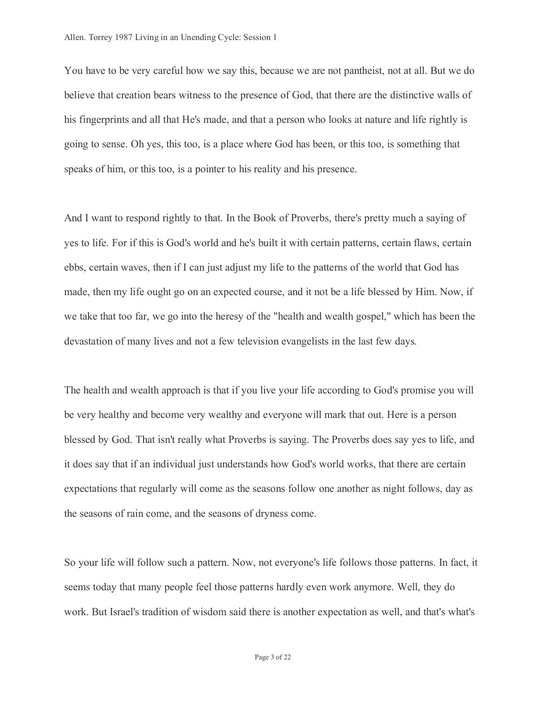You have to be very careful how we say this, because we are not pantheist, not at all. But we do believe that creation bears witness to the presence of God, that there are the distinctive walls of his fingerprints and all that He's made, and that a person who looks at nature and life rightly is going to sense. Oh yes, this too, is a place where God has been, or this too, is something that speaks of him, or this too, is a pointer to his reality and his presence.

And I want to respond rightly to that. In the Book of Proverbs, there's pretty much a saying of yes to life. For if this is God's world and he's built it with certain patterns, certain flaws, certain ebbs, certain waves, then if I can just adjust my life to the patterns of the world that God has made, then my life ought go on an expected course, and it not be a life blessed by Him. Now, if we take that too far, we go into the heresy of the "health and wealth gospel," which has been the devastation of many lives and not a few television evangelists in the last few days.

The health and wealth approach is that if you live your life according to God's promise you will be very healthy and become very wealthy and everyone will mark that out. Here is a person blessed by God. That isn't really what Proverbs is saying. The Proverbs does say yes to life, and it does say that if an individual just understands how God's world works, that there are certain expectations that regularly will come as the seasons follow one another as night follows, day as the seasons of rain come, and the seasons of dryness come.

So your life will follow such a pattern. Now, not everyone's life follows those patterns. In fact, it seems today that many people feel those patterns hardly even work anymore. Well, they do work. But Israel's tradition of wisdom said there is another expectation as well, and that's what's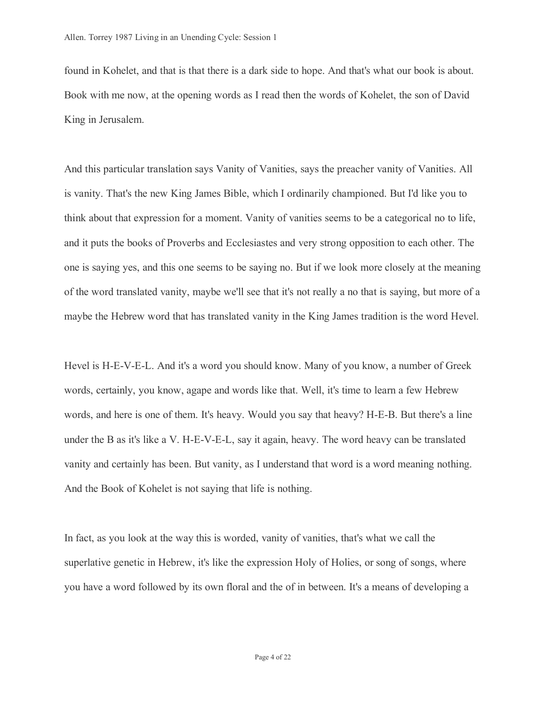found in Kohelet, and that is that there is a dark side to hope. And that's what our book is about. Book with me now, at the opening words as I read then the words of Kohelet, the son of David King in Jerusalem.

And this particular translation says Vanity of Vanities, says the preacher vanity of Vanities. All is vanity. That's the new King James Bible, which I ordinarily championed. But I'd like you to think about that expression for a moment. Vanity of vanities seems to be a categorical no to life, and it puts the books of Proverbs and Ecclesiastes and very strong opposition to each other. The one is saying yes, and this one seems to be saying no. But if we look more closely at the meaning of the word translated vanity, maybe we'll see that it's not really a no that is saying, but more of a maybe the Hebrew word that has translated vanity in the King James tradition is the word Hevel.

Hevel is H-E-V-E-L. And it's a word you should know. Many of you know, a number of Greek words, certainly, you know, agape and words like that. Well, it's time to learn a few Hebrew words, and here is one of them. It's heavy. Would you say that heavy? H-E-B. But there's a line under the B as it's like a V. H-E-V-E-L, say it again, heavy. The word heavy can be translated vanity and certainly has been. But vanity, as I understand that word is a word meaning nothing. And the Book of Kohelet is not saying that life is nothing.

In fact, as you look at the way this is worded, vanity of vanities, that's what we call the superlative genetic in Hebrew, it's like the expression Holy of Holies, or song of songs, where you have a word followed by its own floral and the of in between. It's a means of developing a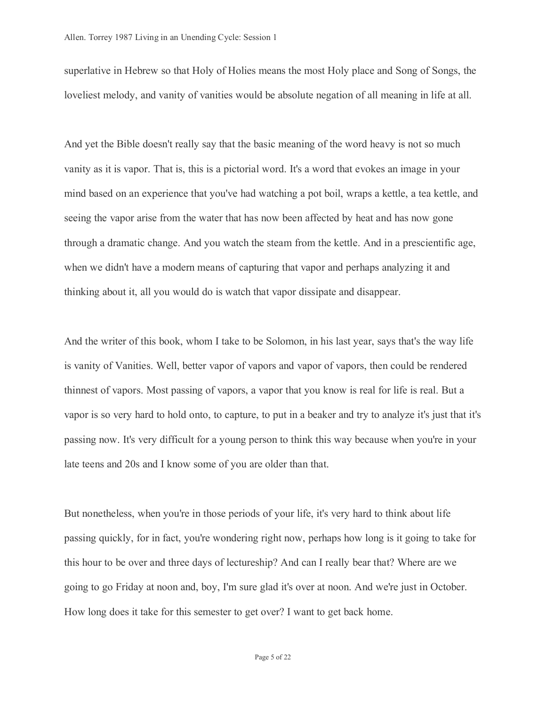superlative in Hebrew so that Holy of Holies means the most Holy place and Song of Songs, the loveliest melody, and vanity of vanities would be absolute negation of all meaning in life at all.

And yet the Bible doesn't really say that the basic meaning of the word heavy is not so much vanity as it is vapor. That is, this is a pictorial word. It's a word that evokes an image in your mind based on an experience that you've had watching a pot boil, wraps a kettle, a tea kettle, and seeing the vapor arise from the water that has now been affected by heat and has now gone through a dramatic change. And you watch the steam from the kettle. And in a prescientific age, when we didn't have a modern means of capturing that vapor and perhaps analyzing it and thinking about it, all you would do is watch that vapor dissipate and disappear.

And the writer of this book, whom I take to be Solomon, in his last year, says that's the way life is vanity of Vanities. Well, better vapor of vapors and vapor of vapors, then could be rendered thinnest of vapors. Most passing of vapors, a vapor that you know is real for life is real. But a vapor is so very hard to hold onto, to capture, to put in a beaker and try to analyze it's just that it's passing now. It's very difficult for a young person to think this way because when you're in your late teens and 20s and I know some of you are older than that.

But nonetheless, when you're in those periods of your life, it's very hard to think about life passing quickly, for in fact, you're wondering right now, perhaps how long is it going to take for this hour to be over and three days of lectureship? And can I really bear that? Where are we going to go Friday at noon and, boy, I'm sure glad it's over at noon. And we're just in October. How long does it take for this semester to get over? I want to get back home.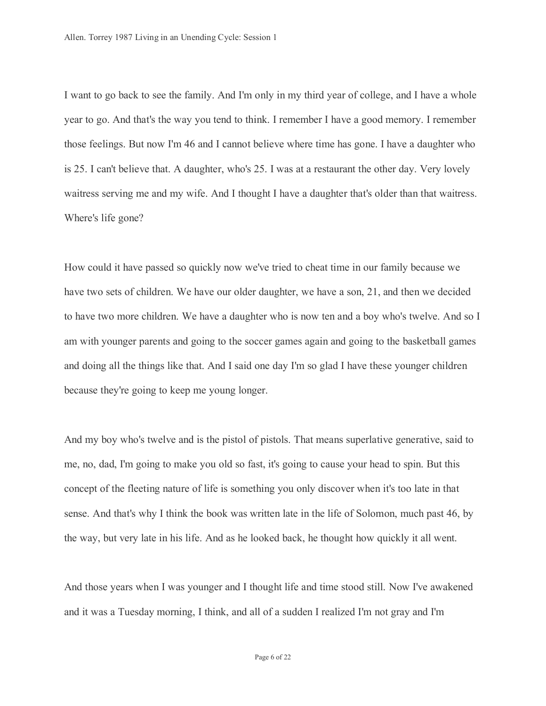I want to go back to see the family. And I'm only in my third year of college, and I have a whole year to go. And that's the way you tend to think. I remember I have a good memory. I remember those feelings. But now I'm 46 and I cannot believe where time has gone. I have a daughter who is 25. I can't believe that. A daughter, who's 25. I was at a restaurant the other day. Very lovely waitress serving me and my wife. And I thought I have a daughter that's older than that waitress. Where's life gone?

How could it have passed so quickly now we've tried to cheat time in our family because we have two sets of children. We have our older daughter, we have a son, 21, and then we decided to have two more children. We have a daughter who is now ten and a boy who's twelve. And so I am with younger parents and going to the soccer games again and going to the basketball games and doing all the things like that. And I said one day I'm so glad I have these younger children because they're going to keep me young longer.

And my boy who's twelve and is the pistol of pistols. That means superlative generative, said to me, no, dad, I'm going to make you old so fast, it's going to cause your head to spin. But this concept of the fleeting nature of life is something you only discover when it's too late in that sense. And that's why I think the book was written late in the life of Solomon, much past 46, by the way, but very late in his life. And as he looked back, he thought how quickly it all went.

And those years when I was younger and I thought life and time stood still. Now I've awakened and it was a Tuesday morning, I think, and all of a sudden I realized I'm not gray and I'm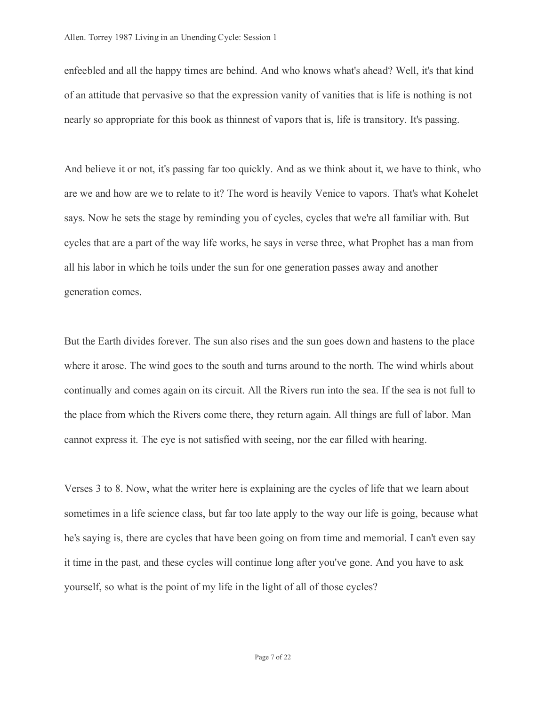enfeebled and all the happy times are behind. And who knows what's ahead? Well, it's that kind of an attitude that pervasive so that the expression vanity of vanities that is life is nothing is not nearly so appropriate for this book as thinnest of vapors that is, life is transitory. It's passing.

And believe it or not, it's passing far too quickly. And as we think about it, we have to think, who are we and how are we to relate to it? The word is heavily Venice to vapors. That's what Kohelet says. Now he sets the stage by reminding you of cycles, cycles that we're all familiar with. But cycles that are a part of the way life works, he says in verse three, what Prophet has a man from all his labor in which he toils under the sun for one generation passes away and another generation comes.

But the Earth divides forever. The sun also rises and the sun goes down and hastens to the place where it arose. The wind goes to the south and turns around to the north. The wind whirls about continually and comes again on its circuit. All the Rivers run into the sea. If the sea is not full to the place from which the Rivers come there, they return again. All things are full of labor. Man cannot express it. The eye is not satisfied with seeing, nor the ear filled with hearing.

Verses 3 to 8. Now, what the writer here is explaining are the cycles of life that we learn about sometimes in a life science class, but far too late apply to the way our life is going, because what he's saying is, there are cycles that have been going on from time and memorial. I can't even say it time in the past, and these cycles will continue long after you've gone. And you have to ask yourself, so what is the point of my life in the light of all of those cycles?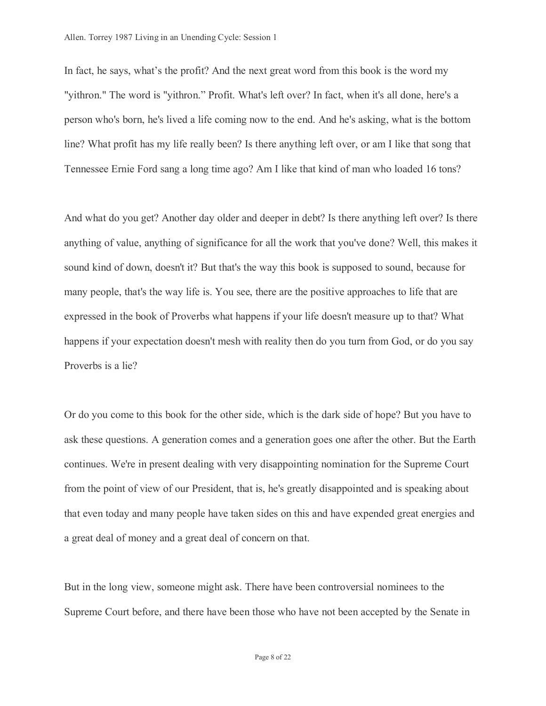In fact, he says, what's the profit? And the next great word from this book is the word my "yithron." The word is "yithron." Profit. What's left over? In fact, when it's all done, here's a person who's born, he's lived a life coming now to the end. And he's asking, what is the bottom line? What profit has my life really been? Is there anything left over, or am I like that song that Tennessee Ernie Ford sang a long time ago? Am I like that kind of man who loaded 16 tons?

And what do you get? Another day older and deeper in debt? Is there anything left over? Is there anything of value, anything of significance for all the work that you've done? Well, this makes it sound kind of down, doesn't it? But that's the way this book is supposed to sound, because for many people, that's the way life is. You see, there are the positive approaches to life that are expressed in the book of Proverbs what happens if your life doesn't measure up to that? What happens if your expectation doesn't mesh with reality then do you turn from God, or do you say Proverbs is a lie?

Or do you come to this book for the other side, which is the dark side of hope? But you have to ask these questions. A generation comes and a generation goes one after the other. But the Earth continues. We're in present dealing with very disappointing nomination for the Supreme Court from the point of view of our President, that is, he's greatly disappointed and is speaking about that even today and many people have taken sides on this and have expended great energies and a great deal of money and a great deal of concern on that.

But in the long view, someone might ask. There have been controversial nominees to the Supreme Court before, and there have been those who have not been accepted by the Senate in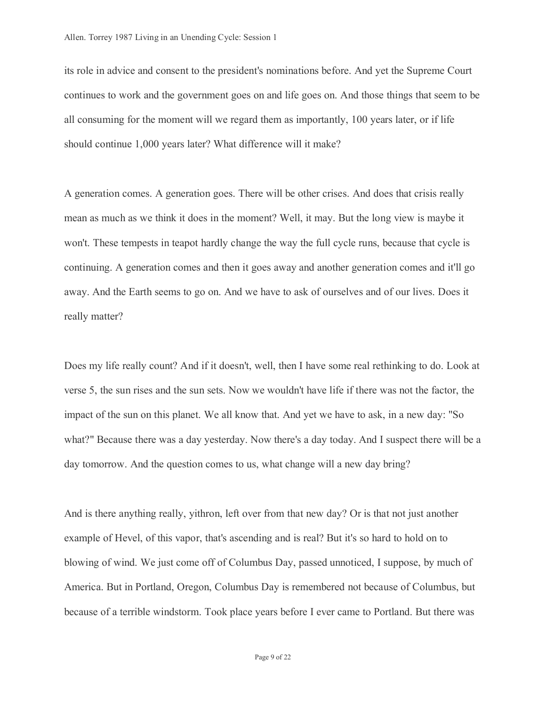its role in advice and consent to the president's nominations before. And yet the Supreme Court continues to work and the government goes on and life goes on. And those things that seem to be all consuming for the moment will we regard them as importantly, 100 years later, or if life should continue 1,000 years later? What difference will it make?

A generation comes. A generation goes. There will be other crises. And does that crisis really mean as much as we think it does in the moment? Well, it may. But the long view is maybe it won't. These tempests in teapot hardly change the way the full cycle runs, because that cycle is continuing. A generation comes and then it goes away and another generation comes and it'll go away. And the Earth seems to go on. And we have to ask of ourselves and of our lives. Does it really matter?

Does my life really count? And if it doesn't, well, then I have some real rethinking to do. Look at verse 5, the sun rises and the sun sets. Now we wouldn't have life if there was not the factor, the impact of the sun on this planet. We all know that. And yet we have to ask, in a new day: "So what?" Because there was a day yesterday. Now there's a day today. And I suspect there will be a day tomorrow. And the question comes to us, what change will a new day bring?

And is there anything really, yithron, left over from that new day? Or is that not just another example of Hevel, of this vapor, that's ascending and is real? But it's so hard to hold on to blowing of wind. We just come off of Columbus Day, passed unnoticed, I suppose, by much of America. But in Portland, Oregon, Columbus Day is remembered not because of Columbus, but because of a terrible windstorm. Took place years before I ever came to Portland. But there was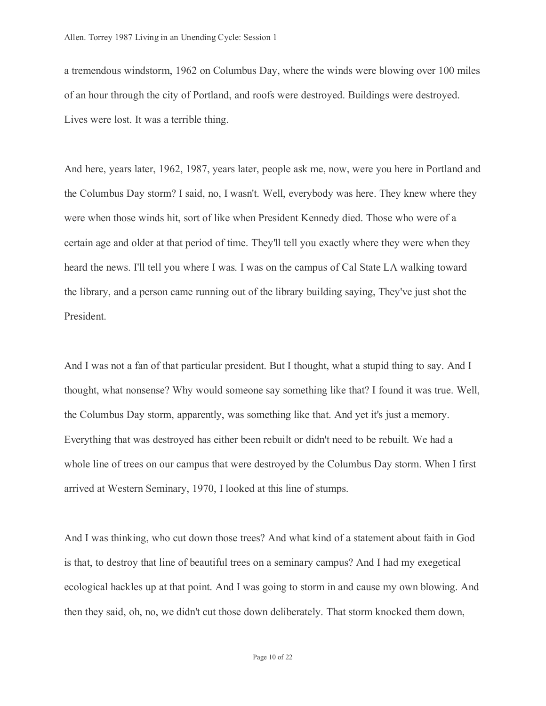a tremendous windstorm, 1962 on Columbus Day, where the winds were blowing over 100 miles of an hour through the city of Portland, and roofs were destroyed. Buildings were destroyed. Lives were lost. It was a terrible thing.

And here, years later, 1962, 1987, years later, people ask me, now, were you here in Portland and the Columbus Day storm? I said, no, I wasn't. Well, everybody was here. They knew where they were when those winds hit, sort of like when President Kennedy died. Those who were of a certain age and older at that period of time. They'll tell you exactly where they were when they heard the news. I'll tell you where I was. I was on the campus of Cal State LA walking toward the library, and a person came running out of the library building saying, They've just shot the President.

And I was not a fan of that particular president. But I thought, what a stupid thing to say. And I thought, what nonsense? Why would someone say something like that? I found it was true. Well, the Columbus Day storm, apparently, was something like that. And yet it's just a memory. Everything that was destroyed has either been rebuilt or didn't need to be rebuilt. We had a whole line of trees on our campus that were destroyed by the Columbus Day storm. When I first arrived at Western Seminary, 1970, I looked at this line of stumps.

And I was thinking, who cut down those trees? And what kind of a statement about faith in God is that, to destroy that line of beautiful trees on a seminary campus? And I had my exegetical ecological hackles up at that point. And I was going to storm in and cause my own blowing. And then they said, oh, no, we didn't cut those down deliberately. That storm knocked them down,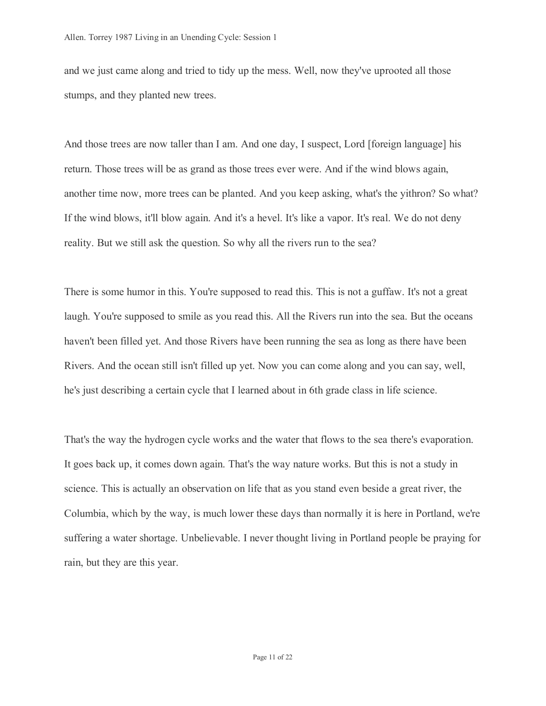and we just came along and tried to tidy up the mess. Well, now they've uprooted all those stumps, and they planted new trees.

And those trees are now taller than I am. And one day, I suspect, Lord [foreign language] his return. Those trees will be as grand as those trees ever were. And if the wind blows again, another time now, more trees can be planted. And you keep asking, what's the yithron? So what? If the wind blows, it'll blow again. And it's a hevel. It's like a vapor. It's real. We do not deny reality. But we still ask the question. So why all the rivers run to the sea?

There is some humor in this. You're supposed to read this. This is not a guffaw. It's not a great laugh. You're supposed to smile as you read this. All the Rivers run into the sea. But the oceans haven't been filled yet. And those Rivers have been running the sea as long as there have been Rivers. And the ocean still isn't filled up yet. Now you can come along and you can say, well, he's just describing a certain cycle that I learned about in 6th grade class in life science.

That's the way the hydrogen cycle works and the water that flows to the sea there's evaporation. It goes back up, it comes down again. That's the way nature works. But this is not a study in science. This is actually an observation on life that as you stand even beside a great river, the Columbia, which by the way, is much lower these days than normally it is here in Portland, we're suffering a water shortage. Unbelievable. I never thought living in Portland people be praying for rain, but they are this year.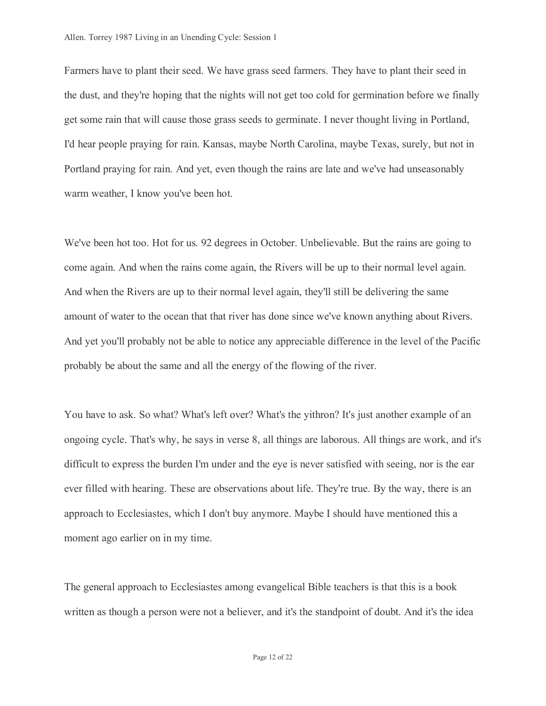Farmers have to plant their seed. We have grass seed farmers. They have to plant their seed in the dust, and they're hoping that the nights will not get too cold for germination before we finally get some rain that will cause those grass seeds to germinate. I never thought living in Portland, I'd hear people praying for rain. Kansas, maybe North Carolina, maybe Texas, surely, but not in Portland praying for rain. And yet, even though the rains are late and we've had unseasonably warm weather, I know you've been hot.

We've been hot too. Hot for us. 92 degrees in October. Unbelievable. But the rains are going to come again. And when the rains come again, the Rivers will be up to their normal level again. And when the Rivers are up to their normal level again, they'll still be delivering the same amount of water to the ocean that that river has done since we've known anything about Rivers. And yet you'll probably not be able to notice any appreciable difference in the level of the Pacific probably be about the same and all the energy of the flowing of the river.

You have to ask. So what? What's left over? What's the yithron? It's just another example of an ongoing cycle. That's why, he says in verse 8, all things are laborous. All things are work, and it's difficult to express the burden I'm under and the eye is never satisfied with seeing, nor is the ear ever filled with hearing. These are observations about life. They're true. By the way, there is an approach to Ecclesiastes, which I don't buy anymore. Maybe I should have mentioned this a moment ago earlier on in my time.

The general approach to Ecclesiastes among evangelical Bible teachers is that this is a book written as though a person were not a believer, and it's the standpoint of doubt. And it's the idea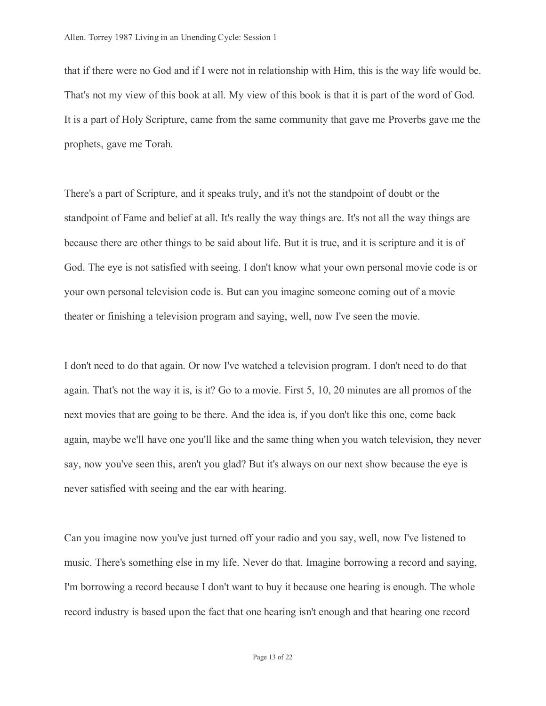that if there were no God and if I were not in relationship with Him, this is the way life would be. That's not my view of this book at all. My view of this book is that it is part of the word of God. It is a part of Holy Scripture, came from the same community that gave me Proverbs gave me the prophets, gave me Torah.

There's a part of Scripture, and it speaks truly, and it's not the standpoint of doubt or the standpoint of Fame and belief at all. It's really the way things are. It's not all the way things are because there are other things to be said about life. But it is true, and it is scripture and it is of God. The eye is not satisfied with seeing. I don't know what your own personal movie code is or your own personal television code is. But can you imagine someone coming out of a movie theater or finishing a television program and saying, well, now I've seen the movie.

I don't need to do that again. Or now I've watched a television program. I don't need to do that again. That's not the way it is, is it? Go to a movie. First 5, 10, 20 minutes are all promos of the next movies that are going to be there. And the idea is, if you don't like this one, come back again, maybe we'll have one you'll like and the same thing when you watch television, they never say, now you've seen this, aren't you glad? But it's always on our next show because the eye is never satisfied with seeing and the ear with hearing.

Can you imagine now you've just turned off your radio and you say, well, now I've listened to music. There's something else in my life. Never do that. Imagine borrowing a record and saying, I'm borrowing a record because I don't want to buy it because one hearing is enough. The whole record industry is based upon the fact that one hearing isn't enough and that hearing one record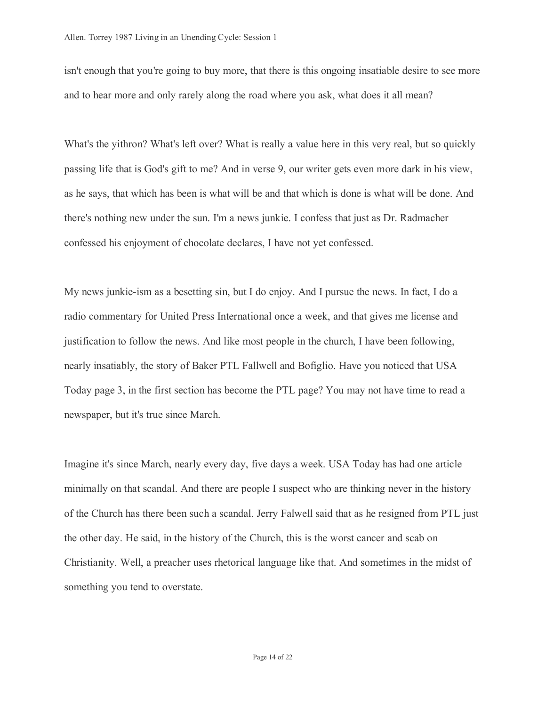isn't enough that you're going to buy more, that there is this ongoing insatiable desire to see more and to hear more and only rarely along the road where you ask, what does it all mean?

What's the yithron? What's left over? What is really a value here in this very real, but so quickly passing life that is God's gift to me? And in verse 9, our writer gets even more dark in his view, as he says, that which has been is what will be and that which is done is what will be done. And there's nothing new under the sun. I'm a news junkie. I confess that just as Dr. Radmacher confessed his enjoyment of chocolate declares, I have not yet confessed.

My news junkie-ism as a besetting sin, but I do enjoy. And I pursue the news. In fact, I do a radio commentary for United Press International once a week, and that gives me license and justification to follow the news. And like most people in the church, I have been following, nearly insatiably, the story of Baker PTL Fallwell and Bofiglio. Have you noticed that USA Today page 3, in the first section has become the PTL page? You may not have time to read a newspaper, but it's true since March.

Imagine it's since March, nearly every day, five days a week. USA Today has had one article minimally on that scandal. And there are people I suspect who are thinking never in the history of the Church has there been such a scandal. Jerry Falwell said that as he resigned from PTL just the other day. He said, in the history of the Church, this is the worst cancer and scab on Christianity. Well, a preacher uses rhetorical language like that. And sometimes in the midst of something you tend to overstate.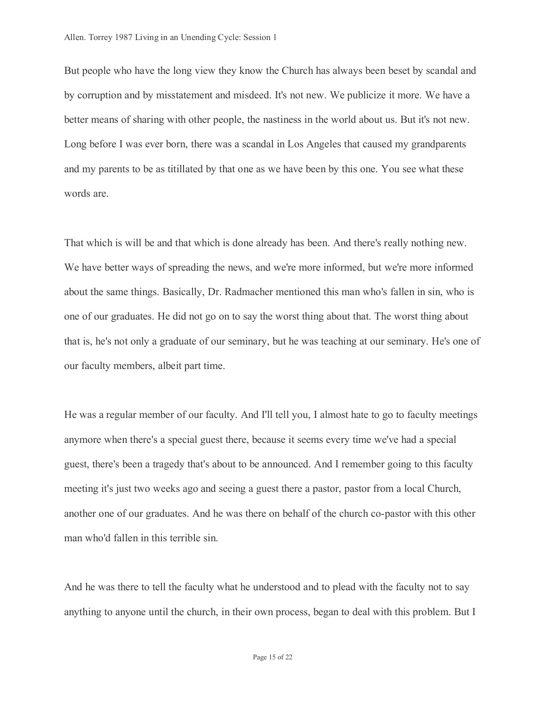But people who have the long view they know the Church has always been beset by scandal and by corruption and by misstatement and misdeed. It's not new. We publicize it more. We have a better means of sharing with other people, the nastiness in the world about us. But it's not new. Long before I was ever born, there was a scandal in Los Angeles that caused my grandparents and my parents to be as titillated by that one as we have been by this one. You see what these words are.

That which is will be and that which is done already has been. And there's really nothing new. We have better ways of spreading the news, and we're more informed, but we're more informed about the same things. Basically, Dr. Radmacher mentioned this man who's fallen in sin, who is one of our graduates. He did not go on to say the worst thing about that. The worst thing about that is, he's not only a graduate of our seminary, but he was teaching at our seminary. He's one of our faculty members, albeit part time.

He was a regular member of our faculty. And I'll tell you, I almost hate to go to faculty meetings anymore when there's a special guest there, because it seems every time we've had a special guest, there's been a tragedy that's about to be announced. And I remember going to this faculty meeting it's just two weeks ago and seeing a guest there a pastor, pastor from a local Church, another one of our graduates. And he was there on behalf of the church co-pastor with this other man who'd fallen in this terrible sin.

And he was there to tell the faculty what he understood and to plead with the faculty not to say anything to anyone until the church, in their own process, began to deal with this problem. But I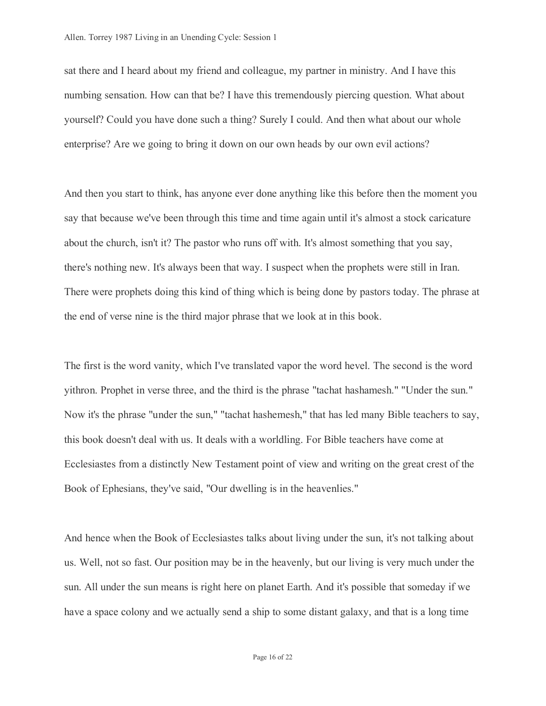sat there and I heard about my friend and colleague, my partner in ministry. And I have this numbing sensation. How can that be? I have this tremendously piercing question. What about yourself? Could you have done such a thing? Surely I could. And then what about our whole enterprise? Are we going to bring it down on our own heads by our own evil actions?

And then you start to think, has anyone ever done anything like this before then the moment you say that because we've been through this time and time again until it's almost a stock caricature about the church, isn't it? The pastor who runs off with. It's almost something that you say, there's nothing new. It's always been that way. I suspect when the prophets were still in Iran. There were prophets doing this kind of thing which is being done by pastors today. The phrase at the end of verse nine is the third major phrase that we look at in this book.

The first is the word vanity, which I've translated vapor the word hevel. The second is the word yithron. Prophet in verse three, and the third is the phrase "tachat hashamesh." "Under the sun." Now it's the phrase "under the sun," "tachat hashemesh," that has led many Bible teachers to say, this book doesn't deal with us. It deals with a worldling. For Bible teachers have come at Ecclesiastes from a distinctly New Testament point of view and writing on the great crest of the Book of Ephesians, they've said, "Our dwelling is in the heavenlies."

And hence when the Book of Ecclesiastes talks about living under the sun, it's not talking about us. Well, not so fast. Our position may be in the heavenly, but our living is very much under the sun. All under the sun means is right here on planet Earth. And it's possible that someday if we have a space colony and we actually send a ship to some distant galaxy, and that is a long time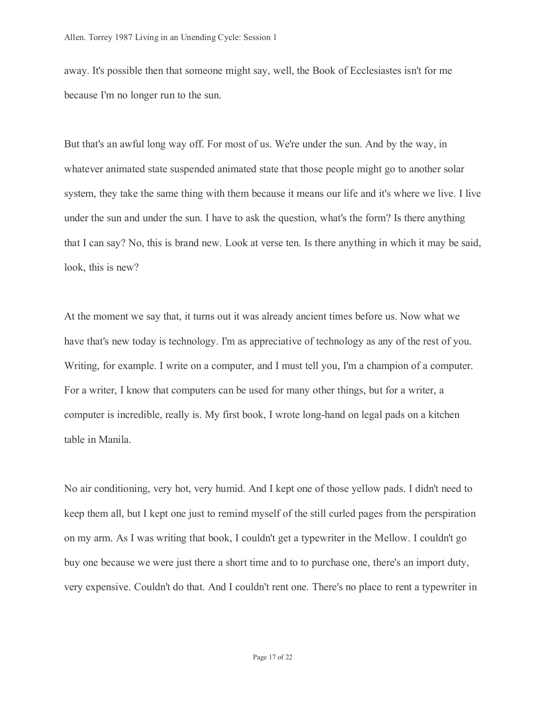away. It's possible then that someone might say, well, the Book of Ecclesiastes isn't for me because I'm no longer run to the sun.

But that's an awful long way off. For most of us. We're under the sun. And by the way, in whatever animated state suspended animated state that those people might go to another solar system, they take the same thing with them because it means our life and it's where we live. I live under the sun and under the sun. I have to ask the question, what's the form? Is there anything that I can say? No, this is brand new. Look at verse ten. Is there anything in which it may be said, look, this is new?

At the moment we say that, it turns out it was already ancient times before us. Now what we have that's new today is technology. I'm as appreciative of technology as any of the rest of you. Writing, for example. I write on a computer, and I must tell you, I'm a champion of a computer. For a writer, I know that computers can be used for many other things, but for a writer, a computer is incredible, really is. My first book, I wrote long-hand on legal pads on a kitchen table in Manila.

No air conditioning, very hot, very humid. And I kept one of those yellow pads. I didn't need to keep them all, but I kept one just to remind myself of the still curled pages from the perspiration on my arm. As I was writing that book, I couldn't get a typewriter in the Mellow. I couldn't go buy one because we were just there a short time and to to purchase one, there's an import duty, very expensive. Couldn't do that. And I couldn't rent one. There's no place to rent a typewriter in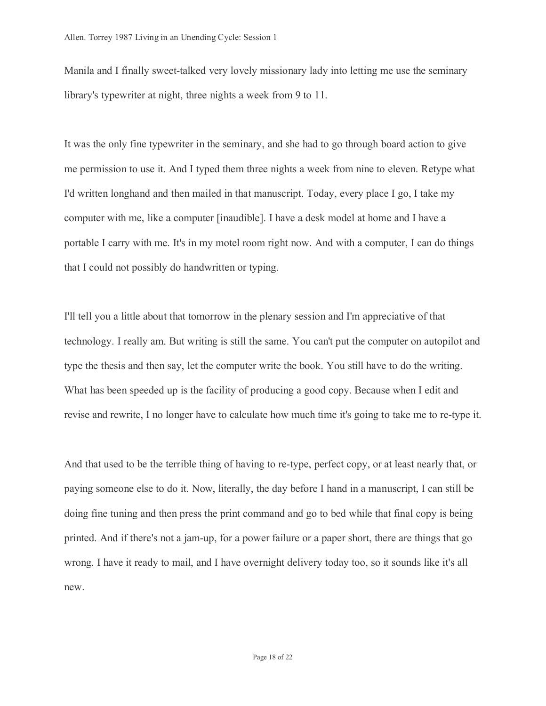Manila and I finally sweet-talked very lovely missionary lady into letting me use the seminary library's typewriter at night, three nights a week from 9 to 11.

It was the only fine typewriter in the seminary, and she had to go through board action to give me permission to use it. And I typed them three nights a week from nine to eleven. Retype what I'd written longhand and then mailed in that manuscript. Today, every place I go, I take my computer with me, like a computer [inaudible]. I have a desk model at home and I have a portable I carry with me. It's in my motel room right now. And with a computer, I can do things that I could not possibly do handwritten or typing.

I'll tell you a little about that tomorrow in the plenary session and I'm appreciative of that technology. I really am. But writing is still the same. You can't put the computer on autopilot and type the thesis and then say, let the computer write the book. You still have to do the writing. What has been speeded up is the facility of producing a good copy. Because when I edit and revise and rewrite, I no longer have to calculate how much time it's going to take me to re-type it.

And that used to be the terrible thing of having to re-type, perfect copy, or at least nearly that, or paying someone else to do it. Now, literally, the day before I hand in a manuscript, I can still be doing fine tuning and then press the print command and go to bed while that final copy is being printed. And if there's not a jam-up, for a power failure or a paper short, there are things that go wrong. I have it ready to mail, and I have overnight delivery today too, so it sounds like it's all new.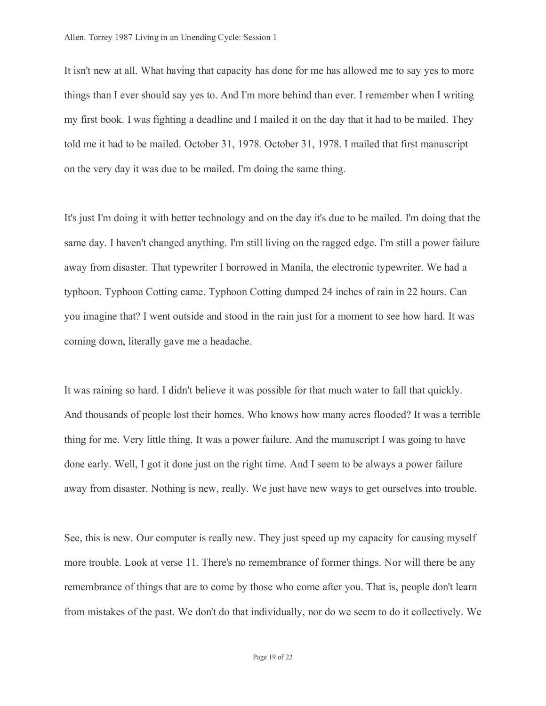It isn't new at all. What having that capacity has done for me has allowed me to say yes to more things than I ever should say yes to. And I'm more behind than ever. I remember when I writing my first book. I was fighting a deadline and I mailed it on the day that it had to be mailed. They told me it had to be mailed. October 31, 1978. October 31, 1978. I mailed that first manuscript on the very day it was due to be mailed. I'm doing the same thing.

It's just I'm doing it with better technology and on the day it's due to be mailed. I'm doing that the same day. I haven't changed anything. I'm still living on the ragged edge. I'm still a power failure away from disaster. That typewriter I borrowed in Manila, the electronic typewriter. We had a typhoon. Typhoon Cotting came. Typhoon Cotting dumped 24 inches of rain in 22 hours. Can you imagine that? I went outside and stood in the rain just for a moment to see how hard. It was coming down, literally gave me a headache.

It was raining so hard. I didn't believe it was possible for that much water to fall that quickly. And thousands of people lost their homes. Who knows how many acres flooded? It was a terrible thing for me. Very little thing. It was a power failure. And the manuscript I was going to have done early. Well, I got it done just on the right time. And I seem to be always a power failure away from disaster. Nothing is new, really. We just have new ways to get ourselves into trouble.

See, this is new. Our computer is really new. They just speed up my capacity for causing myself more trouble. Look at verse 11. There's no remembrance of former things. Nor will there be any remembrance of things that are to come by those who come after you. That is, people don't learn from mistakes of the past. We don't do that individually, nor do we seem to do it collectively. We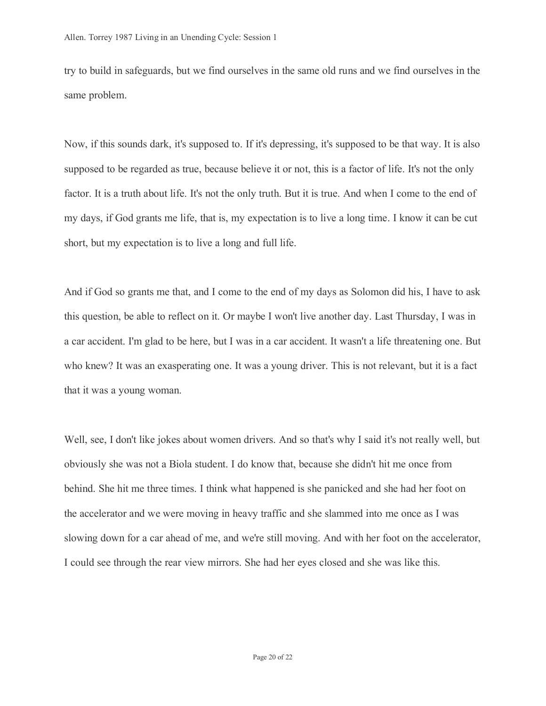try to build in safeguards, but we find ourselves in the same old runs and we find ourselves in the same problem.

Now, if this sounds dark, it's supposed to. If it's depressing, it's supposed to be that way. It is also supposed to be regarded as true, because believe it or not, this is a factor of life. It's not the only factor. It is a truth about life. It's not the only truth. But it is true. And when I come to the end of my days, if God grants me life, that is, my expectation is to live a long time. I know it can be cut short, but my expectation is to live a long and full life.

And if God so grants me that, and I come to the end of my days as Solomon did his, I have to ask this question, be able to reflect on it. Or maybe I won't live another day. Last Thursday, I was in a car accident. I'm glad to be here, but I was in a car accident. It wasn't a life threatening one. But who knew? It was an exasperating one. It was a young driver. This is not relevant, but it is a fact that it was a young woman.

Well, see, I don't like jokes about women drivers. And so that's why I said it's not really well, but obviously she was not a Biola student. I do know that, because she didn't hit me once from behind. She hit me three times. I think what happened is she panicked and she had her foot on the accelerator and we were moving in heavy traffic and she slammed into me once as I was slowing down for a car ahead of me, and we're still moving. And with her foot on the accelerator, I could see through the rear view mirrors. She had her eyes closed and she was like this.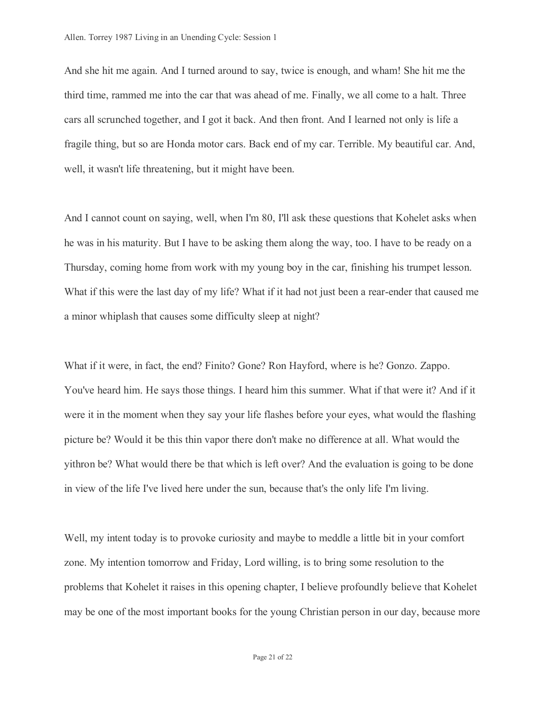And she hit me again. And I turned around to say, twice is enough, and wham! She hit me the third time, rammed me into the car that was ahead of me. Finally, we all come to a halt. Three cars all scrunched together, and I got it back. And then front. And I learned not only is life a fragile thing, but so are Honda motor cars. Back end of my car. Terrible. My beautiful car. And, well, it wasn't life threatening, but it might have been.

And I cannot count on saying, well, when I'm 80, I'll ask these questions that Kohelet asks when he was in his maturity. But I have to be asking them along the way, too. I have to be ready on a Thursday, coming home from work with my young boy in the car, finishing his trumpet lesson. What if this were the last day of my life? What if it had not just been a rear-ender that caused me a minor whiplash that causes some difficulty sleep at night?

What if it were, in fact, the end? Finito? Gone? Ron Hayford, where is he? Gonzo. Zappo. You've heard him. He says those things. I heard him this summer. What if that were it? And if it were it in the moment when they say your life flashes before your eyes, what would the flashing picture be? Would it be this thin vapor there don't make no difference at all. What would the yithron be? What would there be that which is left over? And the evaluation is going to be done in view of the life I've lived here under the sun, because that's the only life I'm living.

Well, my intent today is to provoke curiosity and maybe to meddle a little bit in your comfort zone. My intention tomorrow and Friday, Lord willing, is to bring some resolution to the problems that Kohelet it raises in this opening chapter, I believe profoundly believe that Kohelet may be one of the most important books for the young Christian person in our day, because more